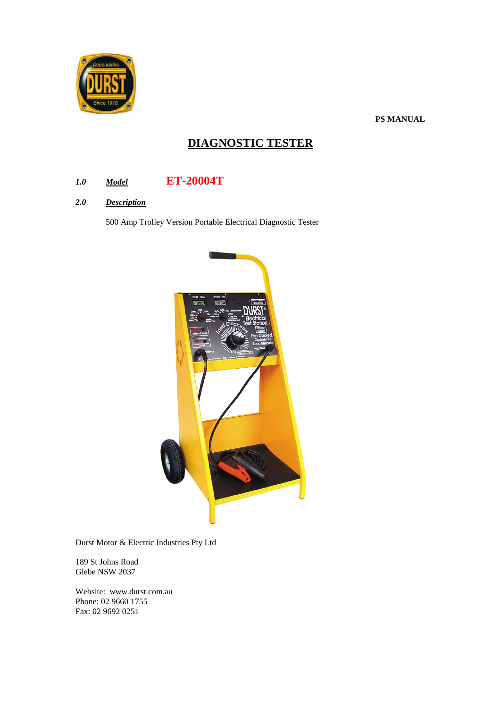

**PS MANUAL**

# **DIAGNOSTIC TESTER**

- *1.0 Model* **ET-20004T**
- *2.0 Description*

500 Amp Trolley Version Portable Electrical Diagnostic Tester



Durst Motor & Electric Industries Pty Ltd

189 St Johns Road Glebe NSW 2037

Website: www.durst.com.au Phone: 02 9660 1755 Fax: 02 9692 0251